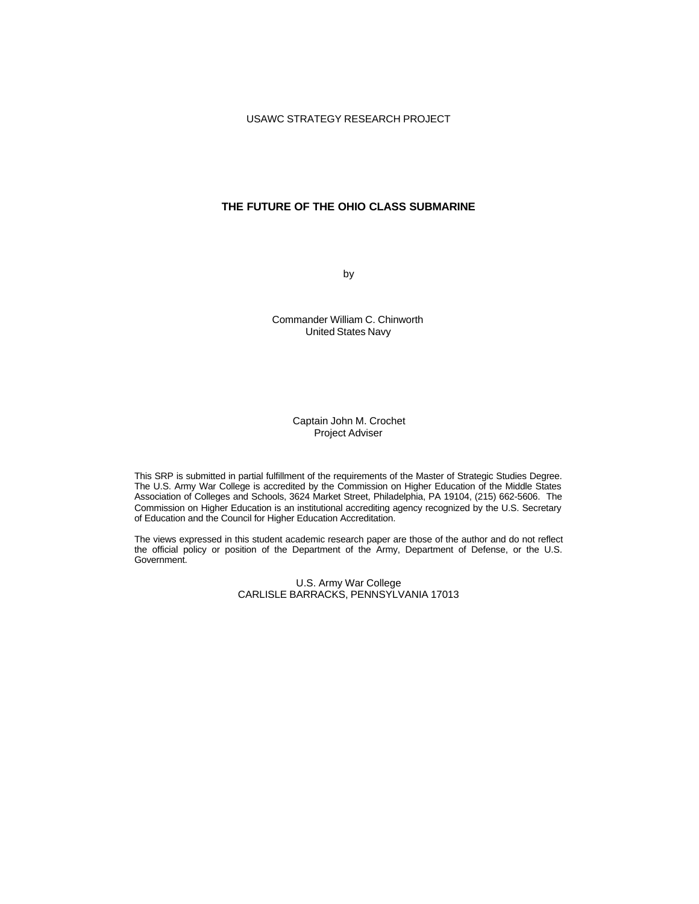# **THE FUTURE OF THE OHIO CLASS SUBMARINE**

by

Commander William C. Chinworth United States Navy

> Captain John M. Crochet Project Adviser

This SRP is submitted in partial fulfillment of the requirements of the Master of Strategic Studies Degree. The U.S. Army War College is accredited by the Commission on Higher Education of the Middle States Association of Colleges and Schools, 3624 Market Street, Philadelphia, PA 19104, (215) 662-5606. The Commission on Higher Education is an institutional accrediting agency recognized by the U.S. Secretary of Education and the Council for Higher Education Accreditation.

The views expressed in this student academic research paper are those of the author and do not reflect the official policy or position of the Department of the Army, Department of Defense, or the U.S. Government.

> U.S. Army War College CARLISLE BARRACKS, PENNSYLVANIA 17013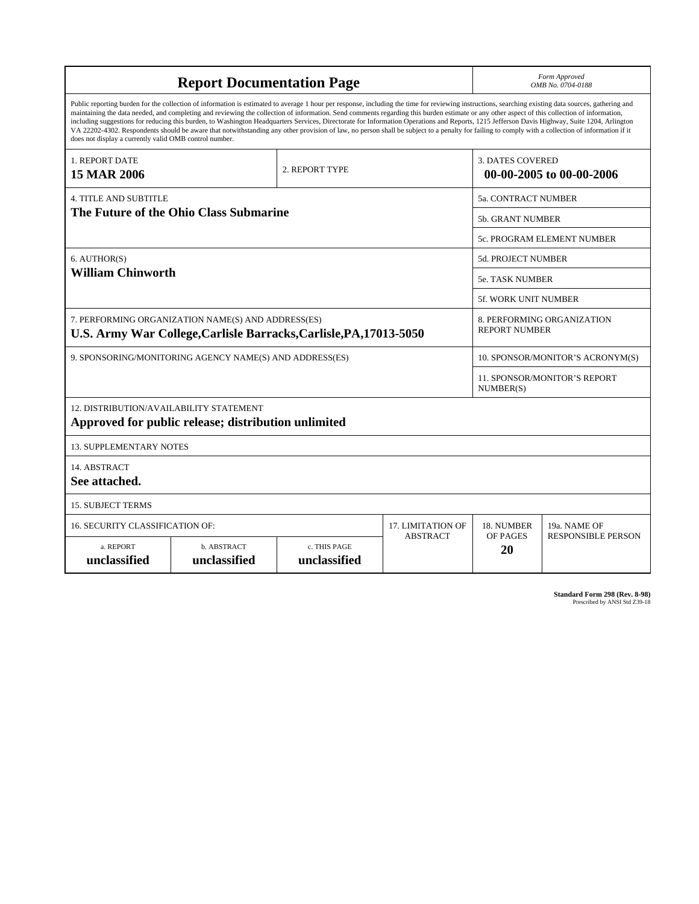| <b>Report Documentation Page</b>                                                                                                                                                                                                                                                                                                                                                                                                                                                                                                                                                                                                                                                                                                                                                                                                                                   |                             |                                           |                            |                                                     | Form Approved<br>OMB No. 0704-0188                 |  |
|--------------------------------------------------------------------------------------------------------------------------------------------------------------------------------------------------------------------------------------------------------------------------------------------------------------------------------------------------------------------------------------------------------------------------------------------------------------------------------------------------------------------------------------------------------------------------------------------------------------------------------------------------------------------------------------------------------------------------------------------------------------------------------------------------------------------------------------------------------------------|-----------------------------|-------------------------------------------|----------------------------|-----------------------------------------------------|----------------------------------------------------|--|
| Public reporting burden for the collection of information is estimated to average 1 hour per response, including the time for reviewing instructions, searching existing data sources, gathering and<br>maintaining the data needed, and completing and reviewing the collection of information. Send comments regarding this burden estimate or any other aspect of this collection of information,<br>including suggestions for reducing this burden, to Washington Headquarters Services, Directorate for Information Operations and Reports, 1215 Jefferson Davis Highway, Suite 1204, Arlington<br>VA 22202-4302. Respondents should be aware that notwithstanding any other provision of law, no person shall be subject to a penalty for failing to comply with a collection of information if it<br>does not display a currently valid OMB control number. |                             |                                           |                            |                                                     |                                                    |  |
| 1. REPORT DATE<br><b>15 MAR 2006</b>                                                                                                                                                                                                                                                                                                                                                                                                                                                                                                                                                                                                                                                                                                                                                                                                                               |                             | 2. REPORT TYPE                            |                            | <b>3. DATES COVERED</b><br>00-00-2005 to 00-00-2006 |                                                    |  |
| <b>4. TITLE AND SUBTITLE</b>                                                                                                                                                                                                                                                                                                                                                                                                                                                                                                                                                                                                                                                                                                                                                                                                                                       |                             |                                           | <b>5a. CONTRACT NUMBER</b> |                                                     |                                                    |  |
| The Future of the Ohio Class Submarine                                                                                                                                                                                                                                                                                                                                                                                                                                                                                                                                                                                                                                                                                                                                                                                                                             |                             |                                           |                            |                                                     | <b>5b. GRANT NUMBER</b>                            |  |
|                                                                                                                                                                                                                                                                                                                                                                                                                                                                                                                                                                                                                                                                                                                                                                                                                                                                    |                             | 5c. PROGRAM ELEMENT NUMBER                |                            |                                                     |                                                    |  |
| 6. AUTHOR(S)<br><b>William Chinworth</b>                                                                                                                                                                                                                                                                                                                                                                                                                                                                                                                                                                                                                                                                                                                                                                                                                           |                             |                                           |                            | 5d. PROJECT NUMBER                                  |                                                    |  |
|                                                                                                                                                                                                                                                                                                                                                                                                                                                                                                                                                                                                                                                                                                                                                                                                                                                                    |                             |                                           |                            | <b>5e. TASK NUMBER</b>                              |                                                    |  |
|                                                                                                                                                                                                                                                                                                                                                                                                                                                                                                                                                                                                                                                                                                                                                                                                                                                                    |                             | <b>5f. WORK UNIT NUMBER</b>               |                            |                                                     |                                                    |  |
| 7. PERFORMING ORGANIZATION NAME(S) AND ADDRESS(ES)<br>U.S. Army War College, Carlisle Barracks, Carlisle, PA, 17013-5050                                                                                                                                                                                                                                                                                                                                                                                                                                                                                                                                                                                                                                                                                                                                           |                             |                                           |                            |                                                     | 8. PERFORMING ORGANIZATION<br><b>REPORT NUMBER</b> |  |
| 9. SPONSORING/MONITORING AGENCY NAME(S) AND ADDRESS(ES)                                                                                                                                                                                                                                                                                                                                                                                                                                                                                                                                                                                                                                                                                                                                                                                                            |                             |                                           |                            | 10. SPONSOR/MONITOR'S ACRONYM(S)                    |                                                    |  |
|                                                                                                                                                                                                                                                                                                                                                                                                                                                                                                                                                                                                                                                                                                                                                                                                                                                                    |                             | 11. SPONSOR/MONITOR'S REPORT<br>NUMBER(S) |                            |                                                     |                                                    |  |
| 12. DISTRIBUTION/AVAILABILITY STATEMENT<br>Approved for public release; distribution unlimited                                                                                                                                                                                                                                                                                                                                                                                                                                                                                                                                                                                                                                                                                                                                                                     |                             |                                           |                            |                                                     |                                                    |  |
| <b>13. SUPPLEMENTARY NOTES</b>                                                                                                                                                                                                                                                                                                                                                                                                                                                                                                                                                                                                                                                                                                                                                                                                                                     |                             |                                           |                            |                                                     |                                                    |  |
| 14. ABSTRACT<br>See attached.                                                                                                                                                                                                                                                                                                                                                                                                                                                                                                                                                                                                                                                                                                                                                                                                                                      |                             |                                           |                            |                                                     |                                                    |  |
| <b>15. SUBJECT TERMS</b>                                                                                                                                                                                                                                                                                                                                                                                                                                                                                                                                                                                                                                                                                                                                                                                                                                           |                             |                                           |                            |                                                     |                                                    |  |
| 16. SECURITY CLASSIFICATION OF:                                                                                                                                                                                                                                                                                                                                                                                                                                                                                                                                                                                                                                                                                                                                                                                                                                    | 17. LIMITATION OF           | 18. NUMBER                                | 19a. NAME OF               |                                                     |                                                    |  |
| a. REPORT<br>unclassified                                                                                                                                                                                                                                                                                                                                                                                                                                                                                                                                                                                                                                                                                                                                                                                                                                          | b. ABSTRACT<br>unclassified | c. THIS PAGE<br>unclassified              | <b>ABSTRACT</b>            | OF PAGES<br>20                                      | <b>RESPONSIBLE PERSON</b>                          |  |

**Standard Form 298 (Rev. 8-98)**<br>Prescribed by ANSI Std Z39-18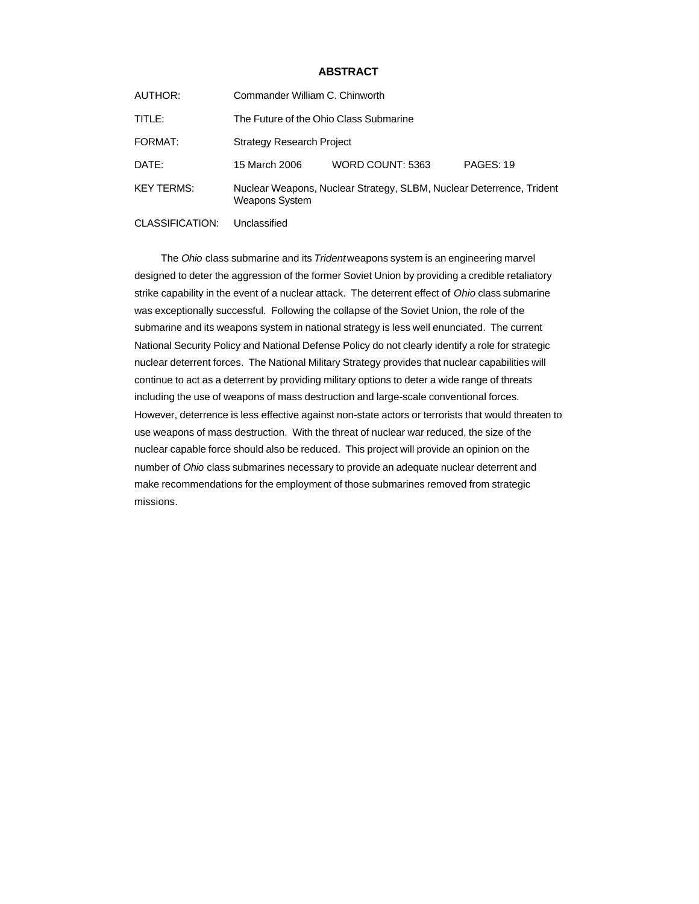# **ABSTRACT**

| AUTHOR:           | Commander William C. Chinworth                                                                |                  |           |  |  |
|-------------------|-----------------------------------------------------------------------------------------------|------------------|-----------|--|--|
| TITLE:            | The Future of the Ohio Class Submarine                                                        |                  |           |  |  |
| FORMAT:           | <b>Strategy Research Project</b>                                                              |                  |           |  |  |
| DATE:             | 15 March 2006                                                                                 | WORD COUNT: 5363 | PAGES: 19 |  |  |
| <b>KEY TERMS:</b> | Nuclear Weapons, Nuclear Strategy, SLBM, Nuclear Deterrence, Trident<br><b>Weapons System</b> |                  |           |  |  |

CLASSIFICATION: Unclassified

The *Ohio* class submarine and its *Trident* weapons system is an engineering marvel designed to deter the aggression of the former Soviet Union by providing a credible retaliatory strike capability in the event of a nuclear attack. The deterrent effect of *Ohio* class submarine was exceptionally successful. Following the collapse of the Soviet Union, the role of the submarine and its weapons system in national strategy is less well enunciated. The current National Security Policy and National Defense Policy do not clearly identify a role for strategic nuclear deterrent forces. The National Military Strategy provides that nuclear capabilities will continue to act as a deterrent by providing military options to deter a wide range of threats including the use of weapons of mass destruction and large-scale conventional forces. However, deterrence is less effective against non-state actors or terrorists that would threaten to use weapons of mass destruction. With the threat of nuclear war reduced, the size of the nuclear capable force should also be reduced. This project will provide an opinion on the number of *Ohio* class submarines necessary to provide an adequate nuclear deterrent and make recommendations for the employment of those submarines removed from strategic missions.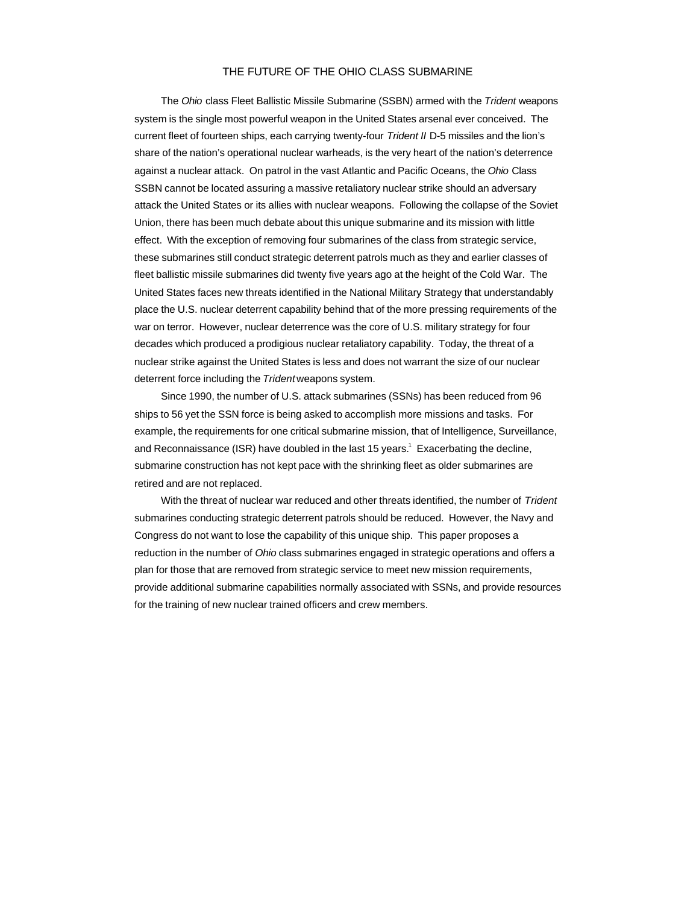# THE FUTURE OF THE OHIO CLASS SUBMARINE

The *Ohio* class Fleet Ballistic Missile Submarine (SSBN) armed with the *Trident* weapons system is the single most powerful weapon in the United States arsenal ever conceived. The current fleet of fourteen ships, each carrying twenty-four *Trident II* D-5 missiles and the lion's share of the nation's operational nuclear warheads, is the very heart of the nation's deterrence against a nuclear attack. On patrol in the vast Atlantic and Pacific Oceans, the *Ohio* Class SSBN cannot be located assuring a massive retaliatory nuclear strike should an adversary attack the United States or its allies with nuclear weapons. Following the collapse of the Soviet Union, there has been much debate about this unique submarine and its mission with little effect. With the exception of removing four submarines of the class from strategic service, these submarines still conduct strategic deterrent patrols much as they and earlier classes of fleet ballistic missile submarines did twenty five years ago at the height of the Cold War. The United States faces new threats identified in the National Military Strategy that understandably place the U.S. nuclear deterrent capability behind that of the more pressing requirements of the war on terror. However, nuclear deterrence was the core of U.S. military strategy for four decades which produced a prodigious nuclear retaliatory capability. Today, the threat of a nuclear strike against the United States is less and does not warrant the size of our nuclear deterrent force including the *Trident* weapons system.

Since 1990, the number of U.S. attack submarines (SSNs) has been reduced from 96 ships to 56 yet the SSN force is being asked to accomplish more missions and tasks. For example, the requirements for one critical submarine mission, that of Intelligence, Surveillance, and Reconnaissance (ISR) have doubled in the last 15 years.<sup>1</sup> Exacerbating the decline, submarine construction has not kept pace with the shrinking fleet as older submarines are retired and are not replaced.

With the threat of nuclear war reduced and other threats identified, the number of *Trident* submarines conducting strategic deterrent patrols should be reduced. However, the Navy and Congress do not want to lose the capability of this unique ship. This paper proposes a reduction in the number of *Ohio* class submarines engaged in strategic operations and offers a plan for those that are removed from strategic service to meet new mission requirements, provide additional submarine capabilities normally associated with SSNs, and provide resources for the training of new nuclear trained officers and crew members.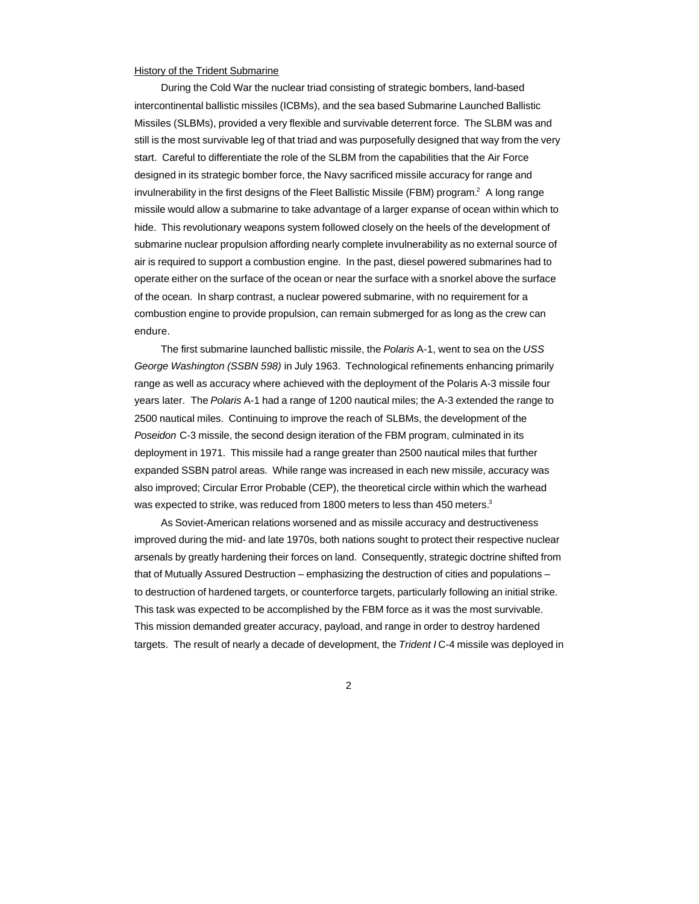## History of the Trident Submarine

During the Cold War the nuclear triad consisting of strategic bombers, land-based intercontinental ballistic missiles (ICBMs), and the sea based Submarine Launched Ballistic Missiles (SLBMs), provided a very flexible and survivable deterrent force. The SLBM was and still is the most survivable leg of that triad and was purposefully designed that way from the very start. Careful to differentiate the role of the SLBM from the capabilities that the Air Force designed in its strategic bomber force, the Navy sacrificed missile accuracy for range and invulnerability in the first designs of the Fleet Ballistic Missile (FBM) program.<sup>2</sup> A long range missile would allow a submarine to take advantage of a larger expanse of ocean within which to hide. This revolutionary weapons system followed closely on the heels of the development of submarine nuclear propulsion affording nearly complete invulnerability as no external source of air is required to support a combustion engine. In the past, diesel powered submarines had to operate either on the surface of the ocean or near the surface with a snorkel above the surface of the ocean. In sharp contrast, a nuclear powered submarine, with no requirement for a combustion engine to provide propulsion, can remain submerged for as long as the crew can endure.

The first submarine launched ballistic missile, the *Polaris* A-1, went to sea on the *USS George Washington (SSBN 598)* in July 1963. Technological refinements enhancing primarily range as well as accuracy where achieved with the deployment of the Polaris A-3 missile four years later. The *Polaris* A-1 had a range of 1200 nautical miles; the A-3 extended the range to 2500 nautical miles. Continuing to improve the reach of SLBMs, the development of the *Poseidon* C-3 missile, the second design iteration of the FBM program, culminated in its deployment in 1971. This missile had a range greater than 2500 nautical miles that further expanded SSBN patrol areas. While range was increased in each new missile, accuracy was also improved; Circular Error Probable (CEP), the theoretical circle within which the warhead was expected to strike, was reduced from 1800 meters to less than 450 meters. $3$ 

As Soviet-American relations worsened and as missile accuracy and destructiveness improved during the mid- and late 1970s, both nations sought to protect their respective nuclear arsenals by greatly hardening their forces on land. Consequently, strategic doctrine shifted from that of Mutually Assured Destruction – emphasizing the destruction of cities and populations – to destruction of hardened targets, or counterforce targets, particularly following an initial strike. This task was expected to be accomplished by the FBM force as it was the most survivable. This mission demanded greater accuracy, payload, and range in order to destroy hardened targets. The result of nearly a decade of development, the *Trident I* C-4 missile was deployed in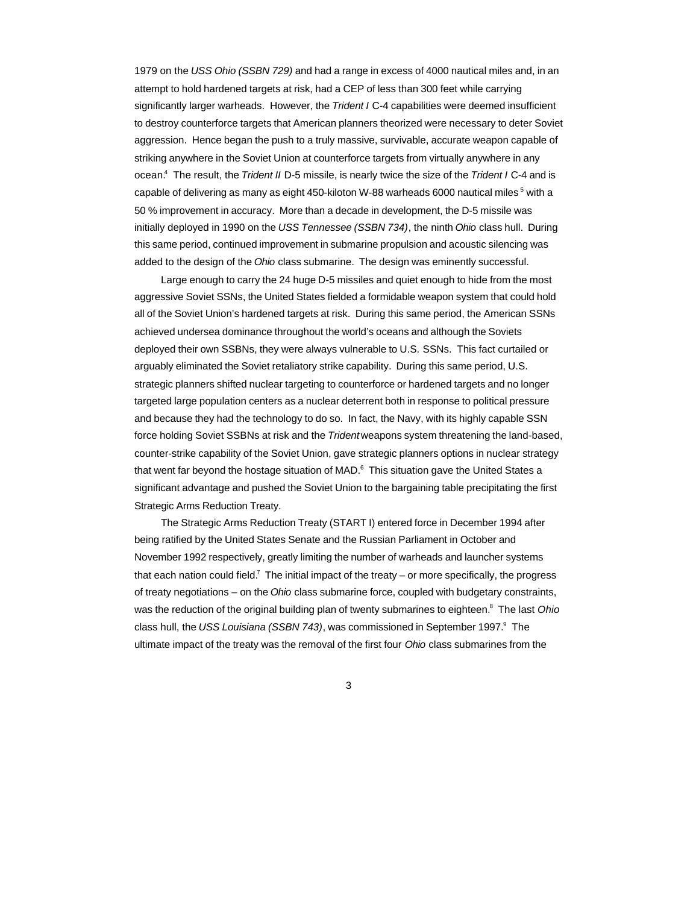1979 on the *USS Ohio (SSBN 729)* and had a range in excess of 4000 nautical miles and, in an attempt to hold hardened targets at risk, had a CEP of less than 300 feet while carrying significantly larger warheads. However, the *Trident I* C-4 capabilities were deemed insufficient to destroy counterforce targets that American planners theorized were necessary to deter Soviet aggression. Hence began the push to a truly massive, survivable, accurate weapon capable of striking anywhere in the Soviet Union at counterforce targets from virtually anywhere in any ocean.<sup>4</sup> The result, the *Trident II* D-5 missile, is nearly twice the size of the *Trident I* C-4 and is capable of delivering as many as eight 450-kiloton W-88 warheads 6000 nautical miles  $^5$  with a 50 % improvement in accuracy. More than a decade in development, the D-5 missile was initially deployed in 1990 on the *USS Tennessee (SSBN 734)*, the ninth *Ohio* class hull. During this same period, continued improvement in submarine propulsion and acoustic silencing was added to the design of the *Ohio* class submarine. The design was eminently successful.

Large enough to carry the 24 huge D-5 missiles and quiet enough to hide from the most aggressive Soviet SSNs, the United States fielded a formidable weapon system that could hold all of the Soviet Union's hardened targets at risk. During this same period, the American SSNs achieved undersea dominance throughout the world's oceans and although the Soviets deployed their own SSBNs, they were always vulnerable to U.S. SSNs. This fact curtailed or arguably eliminated the Soviet retaliatory strike capability. During this same period, U.S. strategic planners shifted nuclear targeting to counterforce or hardened targets and no longer targeted large population centers as a nuclear deterrent both in response to political pressure and because they had the technology to do so. In fact, the Navy, with its highly capable SSN force holding Soviet SSBNs at risk and the *Trident* weapons system threatening the land-based, counter-strike capability of the Soviet Union, gave strategic planners options in nuclear strategy that went far beyond the hostage situation of MAD. $^6$  This situation gave the United States a significant advantage and pushed the Soviet Union to the bargaining table precipitating the first Strategic Arms Reduction Treaty.

The Strategic Arms Reduction Treaty (START I) entered force in December 1994 after being ratified by the United States Senate and the Russian Parliament in October and November 1992 respectively, greatly limiting the number of warheads and launcher systems that each nation could field.<sup>7</sup> The initial impact of the treaty – or more specifically, the progress of treaty negotiations – on the *Ohio* class submarine force, coupled with budgetary constraints, was the reduction of the original building plan of twenty submarines to eighteen.<sup>8</sup> The last *Ohio* class hull, the USS Louisiana (SSBN 743), was commissioned in September 1997.<sup>9</sup> The ultimate impact of the treaty was the removal of the first four *Ohio* class submarines from the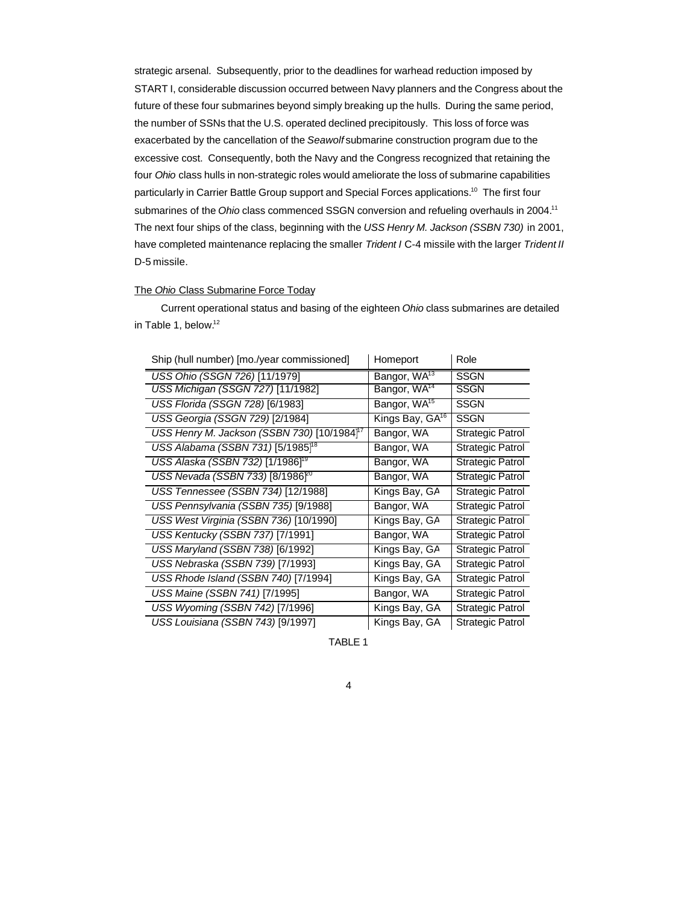strategic arsenal. Subsequently, prior to the deadlines for warhead reduction imposed by START I, considerable discussion occurred between Navy planners and the Congress about the future of these four submarines beyond simply breaking up the hulls. During the same period, the number of SSNs that the U.S. operated declined precipitously. This loss of force was exacerbated by the cancellation of the *Seawolf* submarine construction program due to the excessive cost. Consequently, both the Navy and the Congress recognized that retaining the four *Ohio* class hulls in non-strategic roles would ameliorate the loss of submarine capabilities particularly in Carrier Battle Group support and Special Forces applications.<sup>10</sup> The first four submarines of the *Ohio* class commenced SSGN conversion and refueling overhauls in 2004.<sup>11</sup> The next four ships of the class, beginning with the *USS Henry M. Jackson (SSBN 730)* in 2001, have completed maintenance replacing the smaller *Trident I* C-4 missile with the larger *Trident II* D-5 missile.

# The *Ohio* Class Submarine Force Today

Current operational status and basing of the eighteen *Ohio* class submarines are detailed in Table 1, below.<sup>12</sup>

| Ship (hull number) [mo./year commissioned]              | Homeport                    | Role                    |
|---------------------------------------------------------|-----------------------------|-------------------------|
| USS Ohio (SSGN 726) [11/1979]                           | Bangor, WA <sup>13</sup>    | <b>SSGN</b>             |
| USS Michigan (SSGN 727) [11/1982]                       | Bangor, WA <sup>14</sup>    | <b>SSGN</b>             |
| USS Florida (SSGN 728) [6/1983]                         | Bangor, WA <sup>15</sup>    | <b>SSGN</b>             |
| USS Georgia (SSGN 729) [2/1984]                         | Kings Bay, GA <sup>16</sup> | <b>SSGN</b>             |
| USS Henry M. Jackson (SSBN 730) [10/1984] <sup>17</sup> | Bangor, WA                  | <b>Strategic Patrol</b> |
| USS Alabama (SSBN 731) [5/1985] <sup>18</sup>           | Bangor, WA                  | <b>Strategic Patrol</b> |
| USS Alaska (SSBN 732) [1/1986] <sup>19</sup>            | Bangor, WA                  | <b>Strategic Patrol</b> |
| USS Nevada (SSBN 733) [8/1986 <sup>20</sup>             | Bangor, WA                  | <b>Strategic Patrol</b> |
| USS Tennessee (SSBN 734) [12/1988]                      | Kings Bay, GA               | Strategic Patrol        |
| USS Pennsylvania (SSBN 735) [9/1988]                    | Bangor, WA                  | Strategic Patrol        |
| USS West Virginia (SSBN 736) [10/1990]                  | Kings Bay, GA               | Strategic Patrol        |
| <b>USS Kentucky (SSBN 737) [7/1991]</b>                 | Bangor, WA                  | <b>Strategic Patrol</b> |
| USS Maryland (SSBN 738) [6/1992]                        | Kings Bay, GA               | <b>Strategic Patrol</b> |
| USS Nebraska (SSBN 739) [7/1993]                        | Kings Bay, GA               | <b>Strategic Patrol</b> |
| USS Rhode Island (SSBN 740) [7/1994]                    | Kings Bay, GA               | <b>Strategic Patrol</b> |
| USS Maine (SSBN 741) [7/1995]                           | Bangor, WA                  | <b>Strategic Patrol</b> |
| USS Wyoming (SSBN 742) [7/1996]                         | Kings Bay, GA               | Strategic Patrol        |
| USS Louisiana (SSBN 743) [9/1997]                       | Kings Bay, GA               | <b>Strategic Patrol</b> |

TABLE 1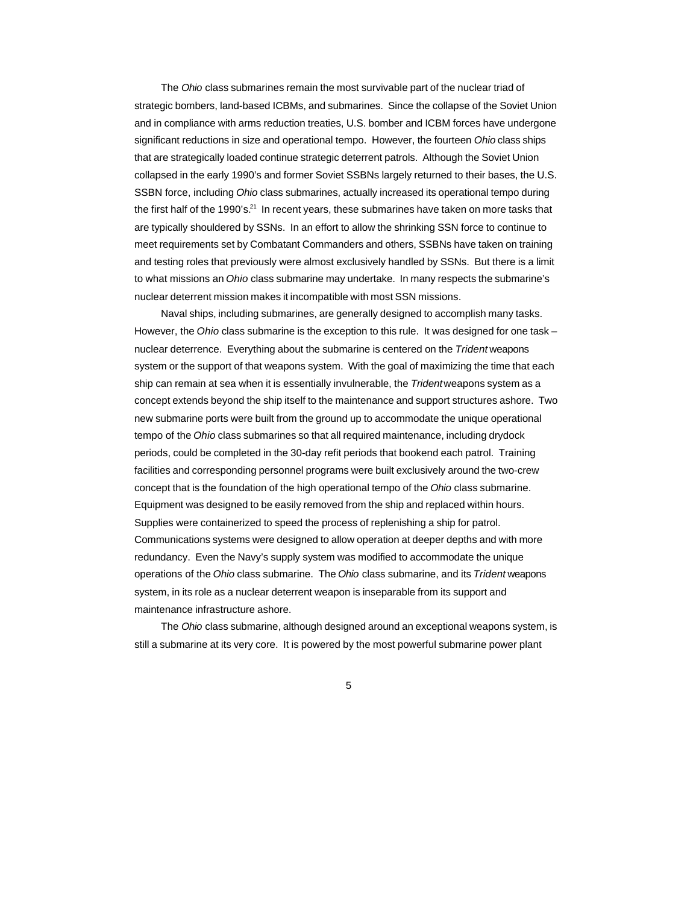The *Ohio* class submarines remain the most survivable part of the nuclear triad of strategic bombers, land-based ICBMs, and submarines. Since the collapse of the Soviet Union and in compliance with arms reduction treaties, U.S. bomber and ICBM forces have undergone significant reductions in size and operational tempo. However, the fourteen *Ohio* class ships that are strategically loaded continue strategic deterrent patrols. Although the Soviet Union collapsed in the early 1990's and former Soviet SSBNs largely returned to their bases, the U.S. SSBN force, including *Ohio* class submarines, actually increased its operational tempo during the first half of the 1990's.<sup>21</sup> In recent years, these submarines have taken on more tasks that are typically shouldered by SSNs. In an effort to allow the shrinking SSN force to continue to meet requirements set by Combatant Commanders and others, SSBNs have taken on training and testing roles that previously were almost exclusively handled by SSNs. But there is a limit to what missions an *Ohio* class submarine may undertake. In many respects the submarine's nuclear deterrent mission makes it incompatible with most SSN missions.

Naval ships, including submarines, are generally designed to accomplish many tasks. However, the *Ohio* class submarine is the exception to this rule. It was designed for one task – nuclear deterrence. Everything about the submarine is centered on the *Trident* weapons system or the support of that weapons system. With the goal of maximizing the time that each ship can remain at sea when it is essentially invulnerable, the *Trident* weapons system as a concept extends beyond the ship itself to the maintenance and support structures ashore. Two new submarine ports were built from the ground up to accommodate the unique operational tempo of the *Ohio* class submarines so that all required maintenance, including drydock periods, could be completed in the 30-day refit periods that bookend each patrol. Training facilities and corresponding personnel programs were built exclusively around the two-crew concept that is the foundation of the high operational tempo of the *Ohio* class submarine. Equipment was designed to be easily removed from the ship and replaced within hours. Supplies were containerized to speed the process of replenishing a ship for patrol. Communications systems were designed to allow operation at deeper depths and with more redundancy. Even the Navy's supply system was modified to accommodate the unique operations of the *Ohio* class submarine. The *Ohio* class submarine, and its *Trident* weapons system, in its role as a nuclear deterrent weapon is inseparable from its support and maintenance infrastructure ashore.

The *Ohio* class submarine, although designed around an exceptional weapons system, is still a submarine at its very core. It is powered by the most powerful submarine power plant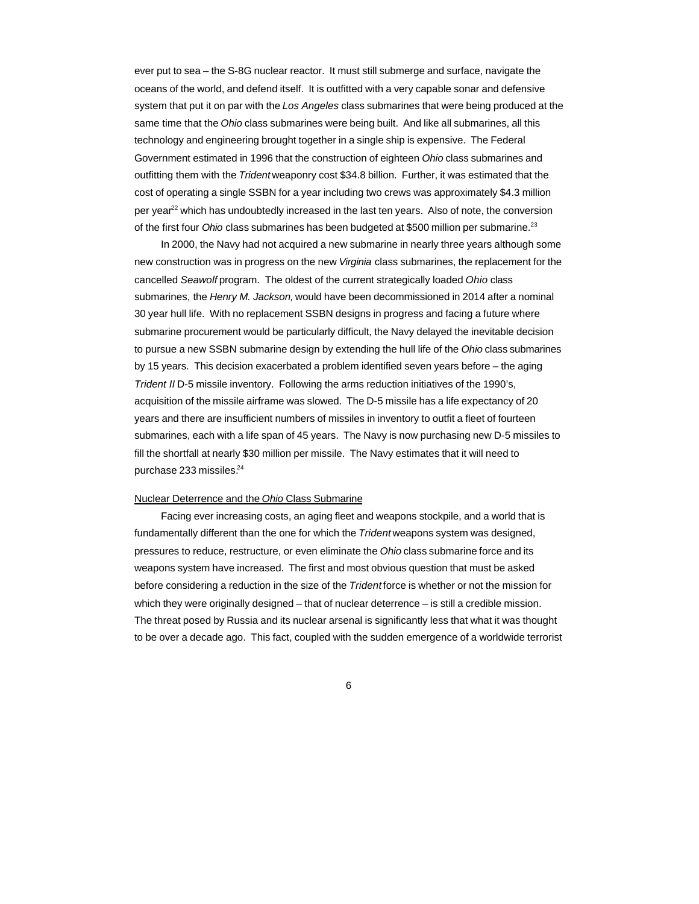ever put to sea – the S-8G nuclear reactor. It must still submerge and surface, navigate the oceans of the world, and defend itself. It is outfitted with a very capable sonar and defensive system that put it on par with the *Los Angeles* class submarines that were being produced at the same time that the *Ohio* class submarines were being built. And like all submarines, all this technology and engineering brought together in a single ship is expensive. The Federal Government estimated in 1996 that the construction of eighteen *Ohio* class submarines and outfitting them with the *Trident* weaponry cost \$34.8 billion. Further, it was estimated that the cost of operating a single SSBN for a year including two crews was approximately \$4.3 million per year<sup>22</sup> which has undoubtedly increased in the last ten years. Also of note, the conversion of the first four *Ohio* class submarines has been budgeted at \$500 million per submarine.<sup>23</sup>

In 2000, the Navy had not acquired a new submarine in nearly three years although some new construction was in progress on the new *Virginia* class submarines, the replacement for the cancelled *Seawolf* program. The oldest of the current strategically loaded *Ohio* class submarines, the *Henry M. Jackson,* would have been decommissioned in 2014 after a nominal 30 year hull life. With no replacement SSBN designs in progress and facing a future where submarine procurement would be particularly difficult, the Navy delayed the inevitable decision to pursue a new SSBN submarine design by extending the hull life of the *Ohio* class submarines by 15 years. This decision exacerbated a problem identified seven years before – the aging *Trident II* D-5 missile inventory. Following the arms reduction initiatives of the 1990's, acquisition of the missile airframe was slowed. The D-5 missile has a life expectancy of 20 years and there are insufficient numbers of missiles in inventory to outfit a fleet of fourteen submarines, each with a life span of 45 years. The Navy is now purchasing new D-5 missiles to fill the shortfall at nearly \$30 million per missile. The Navy estimates that it will need to purchase 233 missiles.<sup>24</sup>

# Nuclear Deterrence and the *Ohio* Class Submarine

Facing ever increasing costs, an aging fleet and weapons stockpile, and a world that is fundamentally different than the one for which the *Trident* weapons system was designed, pressures to reduce, restructure, or even eliminate the *Ohio* class submarine force and its weapons system have increased. The first and most obvious question that must be asked before considering a reduction in the size of the *Trident* force is whether or not the mission for which they were originally designed – that of nuclear deterrence – is still a credible mission. The threat posed by Russia and its nuclear arsenal is significantly less that what it was thought to be over a decade ago. This fact, coupled with the sudden emergence of a worldwide terrorist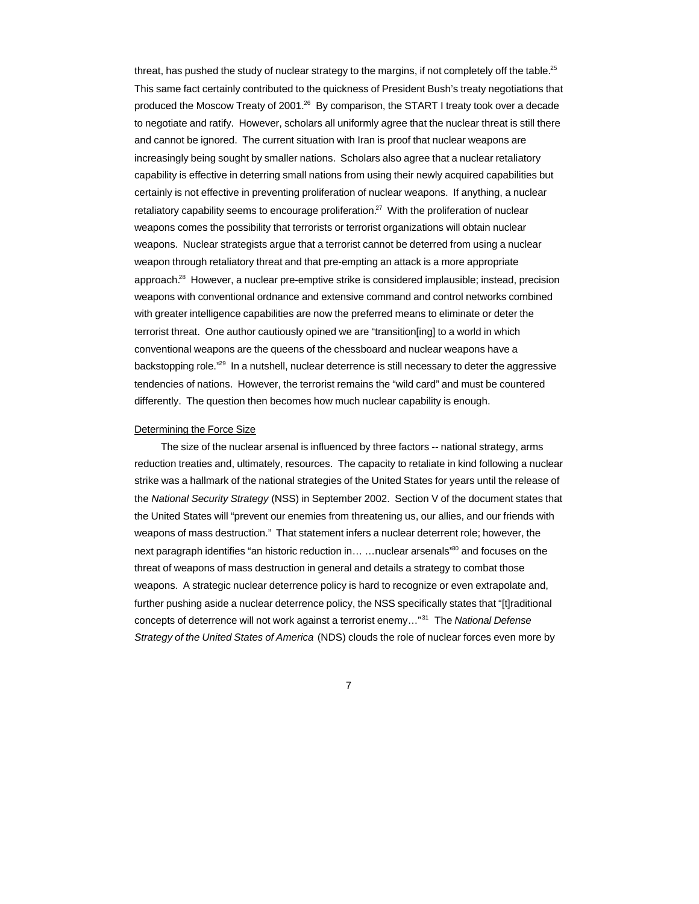threat, has pushed the study of nuclear strategy to the margins, if not completely off the table.<sup>25</sup> This same fact certainly contributed to the quickness of President Bush's treaty negotiations that produced the Moscow Treaty of 2001.<sup>26</sup> By comparison, the START I treaty took over a decade to negotiate and ratify. However, scholars all uniformly agree that the nuclear threat is still there and cannot be ignored. The current situation with Iran is proof that nuclear weapons are increasingly being sought by smaller nations. Scholars also agree that a nuclear retaliatory capability is effective in deterring small nations from using their newly acquired capabilities but certainly is not effective in preventing proliferation of nuclear weapons. If anything, a nuclear retaliatory capability seems to encourage proliferation.<sup>27</sup> With the proliferation of nuclear weapons comes the possibility that terrorists or terrorist organizations will obtain nuclear weapons. Nuclear strategists argue that a terrorist cannot be deterred from using a nuclear weapon through retaliatory threat and that pre-empting an attack is a more appropriate approach.<sup>28</sup> However, a nuclear pre-emptive strike is considered implausible; instead, precision weapons with conventional ordnance and extensive command and control networks combined with greater intelligence capabilities are now the preferred means to eliminate or deter the terrorist threat. One author cautiously opined we are "transition[ing] to a world in which conventional weapons are the queens of the chessboard and nuclear weapons have a backstopping role."<sup>29</sup> In a nutshell, nuclear deterrence is still necessary to deter the aggressive tendencies of nations. However, the terrorist remains the "wild card" and must be countered differently. The question then becomes how much nuclear capability is enough.

#### Determining the Force Size

The size of the nuclear arsenal is influenced by three factors -- national strategy, arms reduction treaties and, ultimately, resources. The capacity to retaliate in kind following a nuclear strike was a hallmark of the national strategies of the United States for years until the release of the *National Security Strategy* (NSS) in September 2002. Section V of the document states that the United States will "prevent our enemies from threatening us, our allies, and our friends with weapons of mass destruction." That statement infers a nuclear deterrent role; however, the next paragraph identifies "an historic reduction in... ... nuclear arsenals"<sup>30</sup> and focuses on the threat of weapons of mass destruction in general and details a strategy to combat those weapons. A strategic nuclear deterrence policy is hard to recognize or even extrapolate and, further pushing aside a nuclear deterrence policy, the NSS specifically states that "[t]raditional concepts of deterrence will not work against a terrorist enemy…"<sup>31</sup> The *National Defense Strategy of the United States of America* (NDS) clouds the role of nuclear forces even more by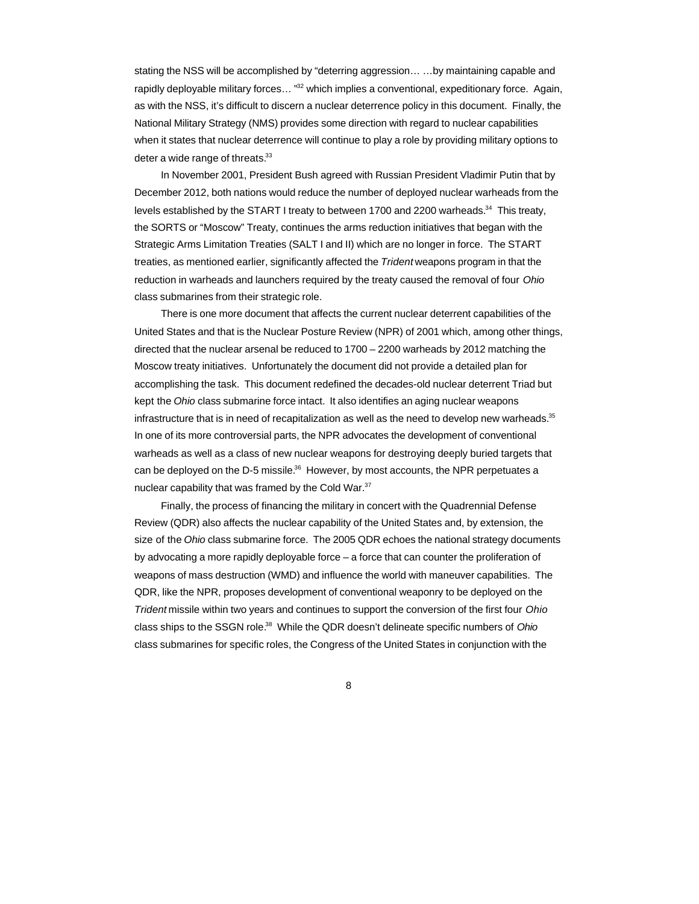stating the NSS will be accomplished by "deterring aggression… …by maintaining capable and rapidly deployable military forces... "<sup>32</sup> which implies a conventional, expeditionary force. Again, as with the NSS, it's difficult to discern a nuclear deterrence policy in this document. Finally, the National Military Strategy (NMS) provides some direction with regard to nuclear capabilities when it states that nuclear deterrence will continue to play a role by providing military options to deter a wide range of threats.<sup>33</sup>

In November 2001, President Bush agreed with Russian President Vladimir Putin that by December 2012, both nations would reduce the number of deployed nuclear warheads from the levels established by the START I treaty to between 1700 and 2200 warheads. $34$  This treaty, the SORTS or "Moscow" Treaty, continues the arms reduction initiatives that began with the Strategic Arms Limitation Treaties (SALT I and II) which are no longer in force. The START treaties, as mentioned earlier, significantly affected the *Trident* weapons program in that the reduction in warheads and launchers required by the treaty caused the removal of four *Ohio* class submarines from their strategic role.

There is one more document that affects the current nuclear deterrent capabilities of the United States and that is the Nuclear Posture Review (NPR) of 2001 which, among other things, directed that the nuclear arsenal be reduced to 1700 – 2200 warheads by 2012 matching the Moscow treaty initiatives. Unfortunately the document did not provide a detailed plan for accomplishing the task. This document redefined the decades-old nuclear deterrent Triad but kept the *Ohio* class submarine force intact. It also identifies an aging nuclear weapons infrastructure that is in need of recapitalization as well as the need to develop new warheads.<sup>35</sup> In one of its more controversial parts, the NPR advocates the development of conventional warheads as well as a class of new nuclear weapons for destroying deeply buried targets that can be deployed on the D-5 missile.<sup>36</sup> However, by most accounts, the NPR perpetuates a nuclear capability that was framed by the Cold War.<sup>37</sup>

Finally, the process of financing the military in concert with the Quadrennial Defense Review (QDR) also affects the nuclear capability of the United States and, by extension, the size of the *Ohio* class submarine force. The 2005 QDR echoes the national strategy documents by advocating a more rapidly deployable force – a force that can counter the proliferation of weapons of mass destruction (WMD) and influence the world with maneuver capabilities. The QDR, like the NPR, proposes development of conventional weaponry to be deployed on the *Trident* missile within two years and continues to support the conversion of the first four *Ohio* class ships to the SSGN role.<sup>38</sup> While the QDR doesn't delineate specific numbers of *Ohio* class submarines for specific roles, the Congress of the United States in conjunction with the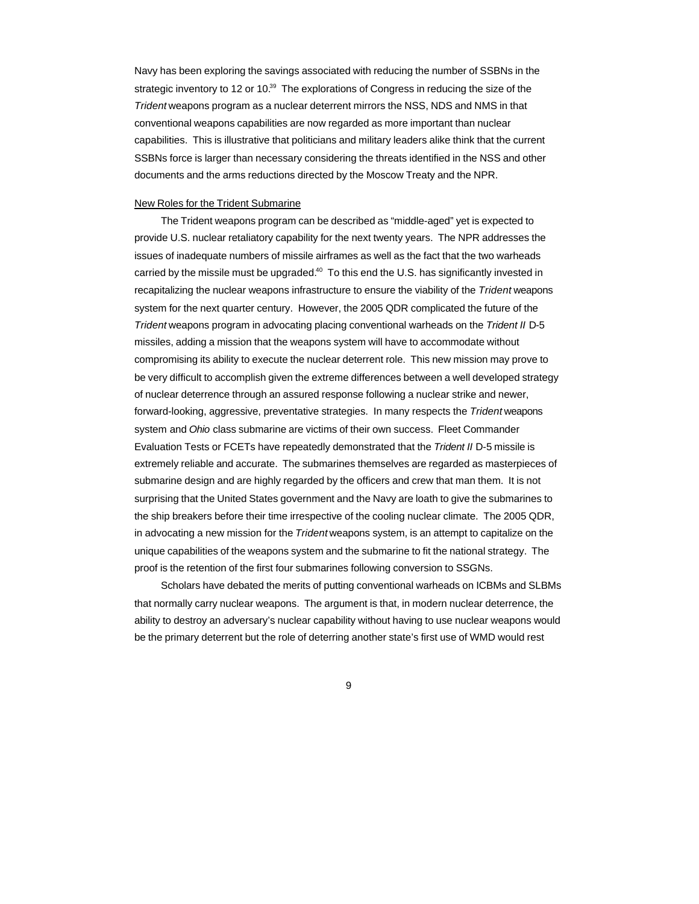Navy has been exploring the savings associated with reducing the number of SSBNs in the strategic inventory to 12 or 10.<sup>39</sup> The explorations of Congress in reducing the size of the *Trident* weapons program as a nuclear deterrent mirrors the NSS, NDS and NMS in that conventional weapons capabilities are now regarded as more important than nuclear capabilities. This is illustrative that politicians and military leaders alike think that the current SSBNs force is larger than necessary considering the threats identified in the NSS and other documents and the arms reductions directed by the Moscow Treaty and the NPR.

## New Roles for the Trident Submarine

The Trident weapons program can be described as "middle-aged" yet is expected to provide U.S. nuclear retaliatory capability for the next twenty years. The NPR addresses the issues of inadequate numbers of missile airframes as well as the fact that the two warheads carried by the missile must be upgraded. $40$  To this end the U.S. has significantly invested in recapitalizing the nuclear weapons infrastructure to ensure the viability of the *Trident* weapons system for the next quarter century. However, the 2005 QDR complicated the future of the *Trident* weapons program in advocating placing conventional warheads on the *Trident II* D-5 missiles, adding a mission that the weapons system will have to accommodate without compromising its ability to execute the nuclear deterrent role. This new mission may prove to be very difficult to accomplish given the extreme differences between a well developed strategy of nuclear deterrence through an assured response following a nuclear strike and newer, forward-looking, aggressive, preventative strategies. In many respects the *Trident* weapons system and *Ohio* class submarine are victims of their own success. Fleet Commander Evaluation Tests or FCETs have repeatedly demonstrated that the *Trident II* D-5 missile is extremely reliable and accurate. The submarines themselves are regarded as masterpieces of submarine design and are highly regarded by the officers and crew that man them. It is not surprising that the United States government and the Navy are loath to give the submarines to the ship breakers before their time irrespective of the cooling nuclear climate. The 2005 QDR, in advocating a new mission for the *Trident* weapons system, is an attempt to capitalize on the unique capabilities of the weapons system and the submarine to fit the national strategy. The proof is the retention of the first four submarines following conversion to SSGNs.

Scholars have debated the merits of putting conventional warheads on ICBMs and SLBMs that normally carry nuclear weapons. The argument is that, in modern nuclear deterrence, the ability to destroy an adversary's nuclear capability without having to use nuclear weapons would be the primary deterrent but the role of deterring another state's first use of WMD would rest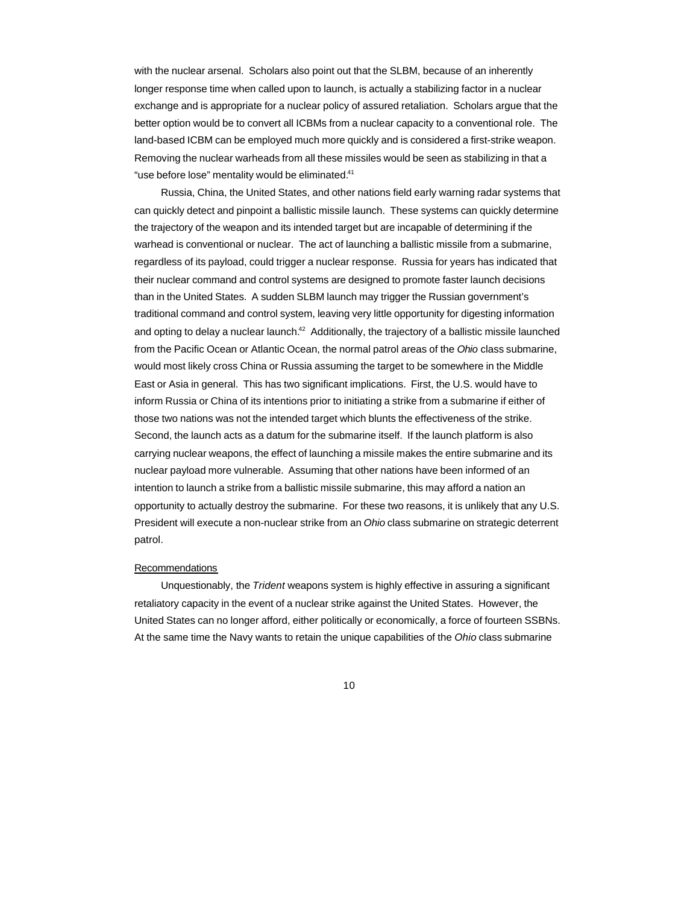with the nuclear arsenal. Scholars also point out that the SLBM, because of an inherently longer response time when called upon to launch, is actually a stabilizing factor in a nuclear exchange and is appropriate for a nuclear policy of assured retaliation. Scholars argue that the better option would be to convert all ICBMs from a nuclear capacity to a conventional role. The land-based ICBM can be employed much more quickly and is considered a first-strike weapon. Removing the nuclear warheads from all these missiles would be seen as stabilizing in that a "use before lose" mentality would be eliminated.<sup>41</sup>

Russia, China, the United States, and other nations field early warning radar systems that can quickly detect and pinpoint a ballistic missile launch. These systems can quickly determine the trajectory of the weapon and its intended target but are incapable of determining if the warhead is conventional or nuclear. The act of launching a ballistic missile from a submarine, regardless of its payload, could trigger a nuclear response. Russia for years has indicated that their nuclear command and control systems are designed to promote faster launch decisions than in the United States. A sudden SLBM launch may trigger the Russian government's traditional command and control system, leaving very little opportunity for digesting information and opting to delay a nuclear launch.<sup>42</sup> Additionally, the trajectory of a ballistic missile launched from the Pacific Ocean or Atlantic Ocean, the normal patrol areas of the *Ohio* class submarine, would most likely cross China or Russia assuming the target to be somewhere in the Middle East or Asia in general. This has two significant implications. First, the U.S. would have to inform Russia or China of its intentions prior to initiating a strike from a submarine if either of those two nations was not the intended target which blunts the effectiveness of the strike. Second, the launch acts as a datum for the submarine itself. If the launch platform is also carrying nuclear weapons, the effect of launching a missile makes the entire submarine and its nuclear payload more vulnerable. Assuming that other nations have been informed of an intention to launch a strike from a ballistic missile submarine, this may afford a nation an opportunity to actually destroy the submarine. For these two reasons, it is unlikely that any U.S. President will execute a non-nuclear strike from an *Ohio* class submarine on strategic deterrent patrol.

#### Recommendations

Unquestionably, the *Trident* weapons system is highly effective in assuring a significant retaliatory capacity in the event of a nuclear strike against the United States. However, the United States can no longer afford, either politically or economically, a force of fourteen SSBNs. At the same time the Navy wants to retain the unique capabilities of the *Ohio* class submarine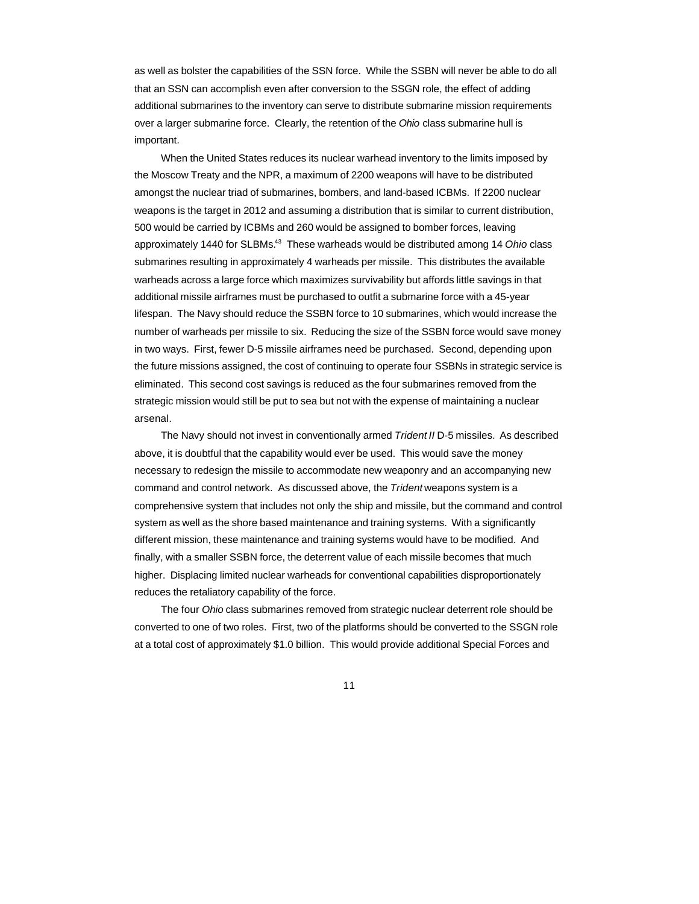as well as bolster the capabilities of the SSN force. While the SSBN will never be able to do all that an SSN can accomplish even after conversion to the SSGN role, the effect of adding additional submarines to the inventory can serve to distribute submarine mission requirements over a larger submarine force. Clearly, the retention of the *Ohio* class submarine hull is important.

When the United States reduces its nuclear warhead inventory to the limits imposed by the Moscow Treaty and the NPR, a maximum of 2200 weapons will have to be distributed amongst the nuclear triad of submarines, bombers, and land-based ICBMs. If 2200 nuclear weapons is the target in 2012 and assuming a distribution that is similar to current distribution, 500 would be carried by ICBMs and 260 would be assigned to bomber forces, leaving approximately 1440 for SLBMs.<sup>43</sup> These warheads would be distributed among 14 Ohio class submarines resulting in approximately 4 warheads per missile. This distributes the available warheads across a large force which maximizes survivability but affords little savings in that additional missile airframes must be purchased to outfit a submarine force with a 45-year lifespan. The Navy should reduce the SSBN force to 10 submarines, which would increase the number of warheads per missile to six. Reducing the size of the SSBN force would save money in two ways. First, fewer D-5 missile airframes need be purchased. Second, depending upon the future missions assigned, the cost of continuing to operate four SSBNs in strategic service is eliminated. This second cost savings is reduced as the four submarines removed from the strategic mission would still be put to sea but not with the expense of maintaining a nuclear arsenal.

The Navy should not invest in conventionally armed *Trident II* D-5 missiles. As described above, it is doubtful that the capability would ever be used. This would save the money necessary to redesign the missile to accommodate new weaponry and an accompanying new command and control network. As discussed above, the *Trident* weapons system is a comprehensive system that includes not only the ship and missile, but the command and control system as well as the shore based maintenance and training systems. With a significantly different mission, these maintenance and training systems would have to be modified. And finally, with a smaller SSBN force, the deterrent value of each missile becomes that much higher. Displacing limited nuclear warheads for conventional capabilities disproportionately reduces the retaliatory capability of the force.

The four *Ohio* class submarines removed from strategic nuclear deterrent role should be converted to one of two roles. First, two of the platforms should be converted to the SSGN role at a total cost of approximately \$1.0 billion. This would provide additional Special Forces and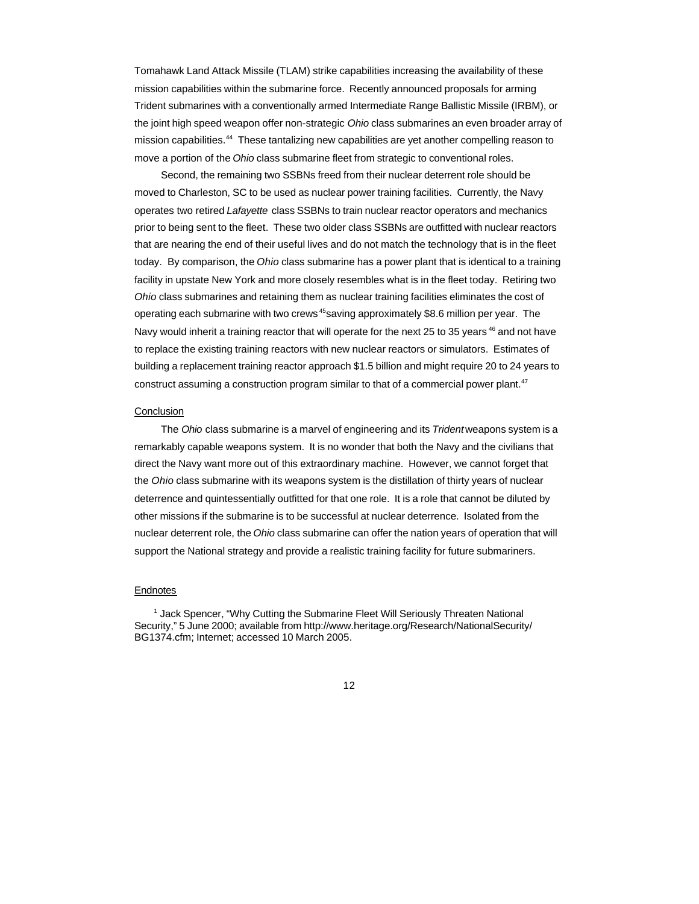Tomahawk Land Attack Missile (TLAM) strike capabilities increasing the availability of these mission capabilities within the submarine force. Recently announced proposals for arming Trident submarines with a conventionally armed Intermediate Range Ballistic Missile (IRBM), or the joint high speed weapon offer non-strategic *Ohio* class submarines an even broader array of mission capabilities.<sup>44</sup> These tantalizing new capabilities are yet another compelling reason to move a portion of the *Ohio* class submarine fleet from strategic to conventional roles.

Second, the remaining two SSBNs freed from their nuclear deterrent role should be moved to Charleston, SC to be used as nuclear power training facilities. Currently, the Navy operates two retired *Lafayette* class SSBNs to train nuclear reactor operators and mechanics prior to being sent to the fleet. These two older class SSBNs are outfitted with nuclear reactors that are nearing the end of their useful lives and do not match the technology that is in the fleet today. By comparison, the *Ohio* class submarine has a power plant that is identical to a training facility in upstate New York and more closely resembles what is in the fleet today. Retiring two *Ohio* class submarines and retaining them as nuclear training facilities eliminates the cost of operating each submarine with two crews<sup>45</sup>saving approximately \$8.6 million per year. The Navy would inherit a training reactor that will operate for the next 25 to 35 years <sup>46</sup> and not have to replace the existing training reactors with new nuclear reactors or simulators. Estimates of building a replacement training reactor approach \$1.5 billion and might require 20 to 24 years to construct assuming a construction program similar to that of a commercial power plant.<sup>47</sup>

### **Conclusion**

The *Ohio* class submarine is a marvel of engineering and its *Trident* weapons system is a remarkably capable weapons system. It is no wonder that both the Navy and the civilians that direct the Navy want more out of this extraordinary machine. However, we cannot forget that the *Ohio* class submarine with its weapons system is the distillation of thirty years of nuclear deterrence and quintessentially outfitted for that one role. It is a role that cannot be diluted by other missions if the submarine is to be successful at nuclear deterrence. Isolated from the nuclear deterrent role, the *Ohio* class submarine can offer the nation years of operation that will support the National strategy and provide a realistic training facility for future submariners.

## **Endnotes**

<sup>1</sup> Jack Spencer, "Why Cutting the Submarine Fleet Will Seriously Threaten National Security," 5 June 2000; available from http://www.heritage.org/Research/NationalSecurity/ BG1374.cfm; Internet; accessed 10 March 2005.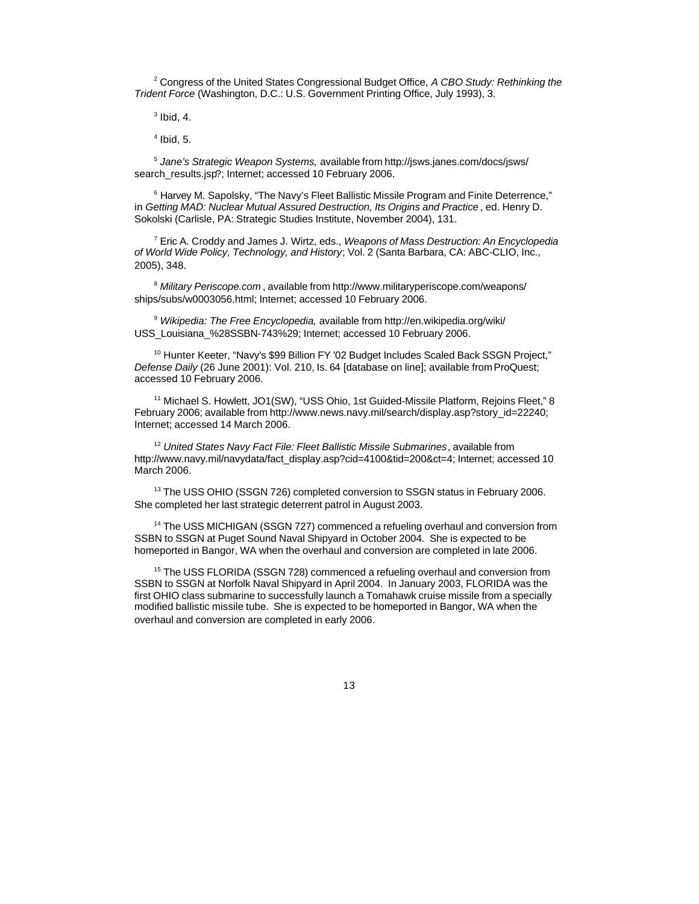2 Congress of the United States Congressional Budget Office, *A CBO Study: Rethinking the Trident Force* (Washington, D.C.: U.S. Government Printing Office, July 1993), 3.

 $3$  Ibid, 4.

 $<sup>4</sup>$  Ibid, 5.</sup>

5 *Jane's Strategic Weapon Systems,* available from http://jsws.janes.com/docs/jsws/ search\_results.jsp?; Internet; accessed 10 February 2006.

<sup>6</sup> Harvey M. Sapolsky, "The Navy's Fleet Ballistic Missile Program and Finite Deterrence," in *Getting MAD: Nuclear Mutual Assured Destruction, Its Origins and Practice* , ed. Henry D. Sokolski (Carlisle, PA: Strategic Studies Institute, November 2004), 131.

7 Eric A. Croddy and James J. Wirtz, eds., *Weapons of Mass Destruction: An Encyclopedia of World Wide Policy, Technology, and History*; Vol. 2 (Santa Barbara, CA: ABC-CLIO, Inc., 2005), 348.

<sup>8</sup> *Military Periscope.com* , available from http://www.militaryperiscope.com/weapons/ ships/subs/w0003056.html; Internet; accessed 10 February 2006.

<sup>9</sup> *Wikipedia: The Free Encyclopedia,* available from http://en.wikipedia.org/wiki/ USS\_Louisiana\_%28SSBN-743%29; Internet; accessed 10 February 2006.

<sup>10</sup> Hunter Keeter, "Navy's \$99 Billion FY '02 Budget Includes Scaled Back SSGN Project," *Defense Daily* (26 June 2001): Vol. 210, Is. 64 [database on line]; available from ProQuest; accessed 10 February 2006.

<sup>11</sup> Michael S. Howlett, JO1(SW), "USS Ohio, 1st Guided-Missile Platform, Rejoins Fleet," 8 February 2006; available from http://www.news.navy.mil/search/display.asp?story\_id=22240; Internet; accessed 14 March 2006.

<sup>12</sup> *United States Navy Fact File: Fleet Ballistic Missile Submarines*, available from http://www.navy.mil/navydata/fact\_display.asp?cid=4100&tid=200&ct=4; Internet; accessed 10 March 2006.

<sup>13</sup> The USS OHIO (SSGN 726) completed conversion to SSGN status in February 2006. She completed her last strategic deterrent patrol in August 2003.

<sup>14</sup> The USS MICHIGAN (SSGN 727) commenced a refueling overhaul and conversion from SSBN to SSGN at Puget Sound Naval Shipyard in October 2004. She is expected to be homeported in Bangor, WA when the overhaul and conversion are completed in late 2006.

<sup>15</sup> The USS FLORIDA (SSGN 728) commenced a refueling overhaul and conversion from SSBN to SSGN at Norfolk Naval Shipyard in April 2004. In January 2003, FLORIDA was the first OHIO class submarine to successfully launch a Tomahawk cruise missile from a specially modified ballistic missile tube. She is expected to be homeported in Bangor, WA when the overhaul and conversion are completed in early 2006.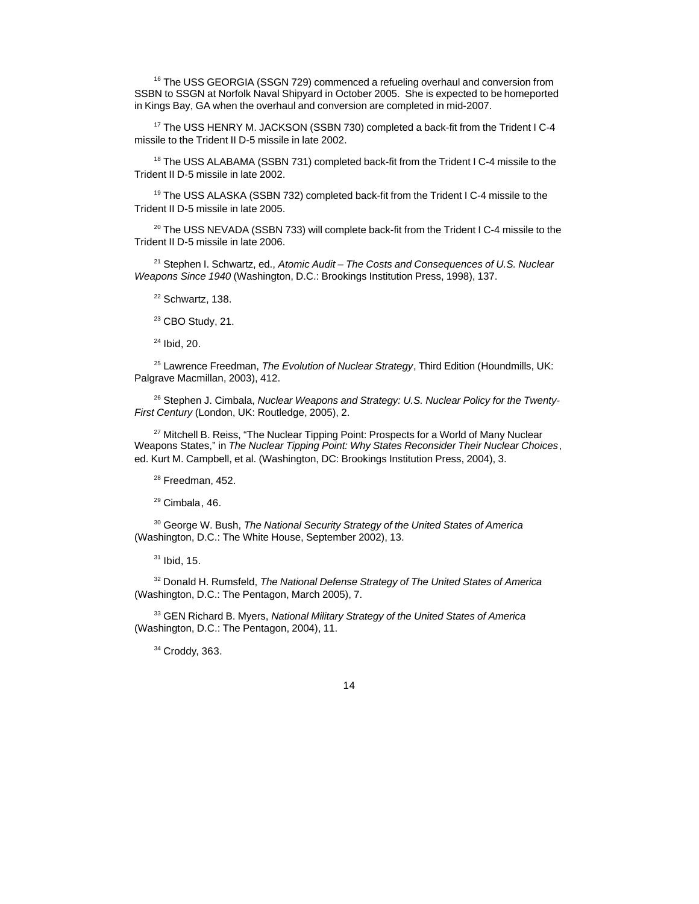<sup>16</sup> The USS GEORGIA (SSGN 729) commenced a refueling overhaul and conversion from SSBN to SSGN at Norfolk Naval Shipyard in October 2005. She is expected to be homeported in Kings Bay, GA when the overhaul and conversion are completed in mid-2007.

<sup>17</sup> The USS HENRY M. JACKSON (SSBN 730) completed a back-fit from the Trident I C-4 missile to the Trident II D-5 missile in late 2002.

<sup>18</sup> The USS ALABAMA (SSBN 731) completed back-fit from the Trident I C-4 missile to the Trident II D-5 missile in late 2002.

<sup>19</sup> The USS ALASKA (SSBN 732) completed back-fit from the Trident I C-4 missile to the Trident II D-5 missile in late 2005.

 $20$  The USS NEVADA (SSBN 733) will complete back-fit from the Trident I C-4 missile to the Trident II D-5 missile in late 2006.

<sup>21</sup> Stephen I. Schwartz, ed., *Atomic Audit – The Costs and Consequences of U.S. Nuclear Weapons Since 1940* (Washington, D.C.: Brookings Institution Press, 1998), 137.

<sup>22</sup> Schwartz, 138.

<sup>23</sup> CBO Study, 21.

 $24$  Ibid, 20.

<sup>25</sup> Lawrence Freedman, *The Evolution of Nuclear Strategy*, Third Edition (Houndmills, UK: Palgrave Macmillan, 2003), 412.

26 Stephen J. Cimbala, *Nuclear Weapons and Strategy: U.S. Nuclear Policy for the Twenty-First Century* (London, UK: Routledge, 2005), 2.

<sup>27</sup> Mitchell B. Reiss, "The Nuclear Tipping Point: Prospects for a World of Many Nuclear Weapons States," in *The Nuclear Tipping Point: Why States Reconsider Their Nuclear Choices*, ed. Kurt M. Campbell, et al. (Washington, DC: Brookings Institution Press, 2004), 3.

 $28$  Freedman, 452.

<sup>29</sup> Cimbala, 46.

<sup>30</sup> George W. Bush, *The National Security Strategy of the United States of America* (Washington, D.C.: The White House, September 2002), 13.

 $31$  Ibid, 15.

<sup>32</sup> Donald H. Rumsfeld, *The National Defense Strategy of The United States of America* (Washington, D.C.: The Pentagon, March 2005), 7.

<sup>33</sup> GEN Richard B. Myers, *National Military Strategy of the United States of America* (Washington, D.C.: The Pentagon, 2004), 11.

<sup>34</sup> Croddy, 363.